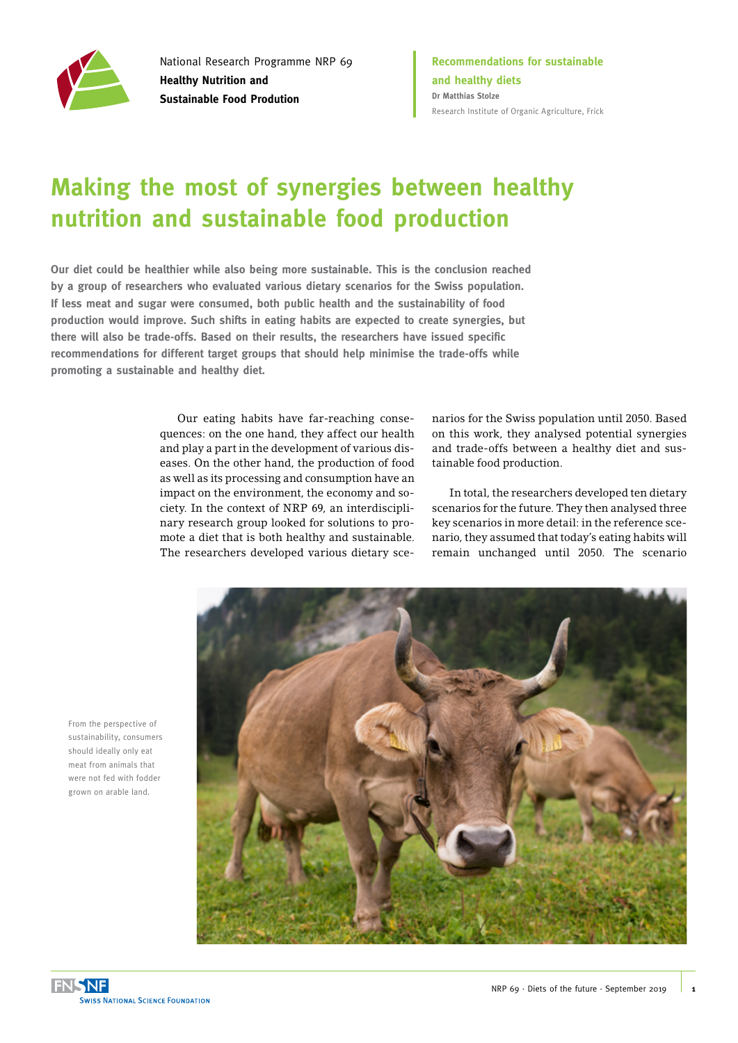

National Research Programme NRP 69 **Healthy Nutrition and Sustainable Food Prodution**

**Recommendations for sustainable and healthy diets Dr Matthias Stolze** [Research Institute of Organic Agriculture, Frick](https://www.fibl.org/en/homepage.html)

# **Making the most of synergies between healthy nutrition and sustainable food production**

**Our diet could be healthier while also being more sustainable. This is the conclusion reached by a group of researchers who evaluated various dietary scenarios for the Swiss population. If less meat and sugar were consumed, both public health and the sustainability of food production would improve. Such shifts in eating habits are expected to create synergies, but there will also be trade-offs. Based on their results, the researchers have issued specific recommendations for different target groups that should help minimise the trade-offs while promoting a sustainable and healthy diet.**

> Our eating habits have far-reaching consequences: on the one hand, they affect our health and play a part in the development of various diseases. On the other hand, the production of food as well as its processing and consumption have an impact on the environment, the economy and society. In the context of NRP 69, an interdisciplinary research group looked for solutions to promote a diet that is both healthy and sustainable. The researchers developed various dietary sce

narios for the Swiss population until 2050. Based on this work, they analysed potential synergies and trade-offs between a healthy diet and sustainable food production.

In total, the researchers developed ten dietary scenarios for the future. They then analysed three key scenarios in more detail: in the reference scenario, they assumed that today's eating habits will remain unchanged until 2050. The scenario



From the perspective of sustainability, consumers should ideally only eat meat from animals that were not fed with fodder grown on arable land.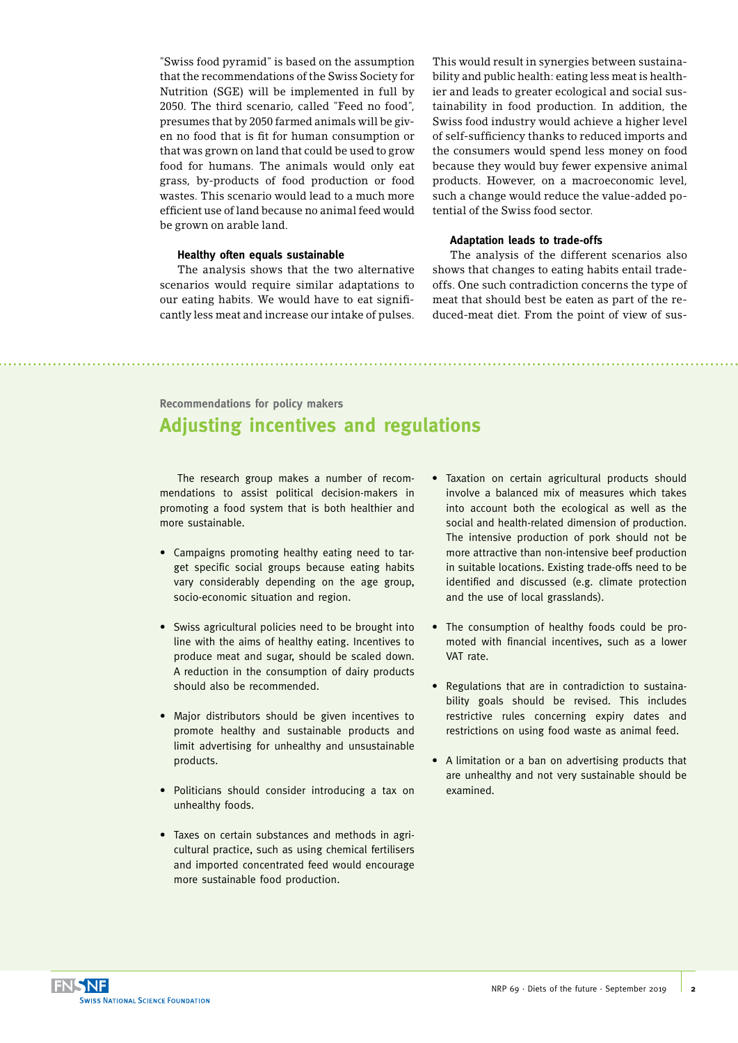"Swiss food pyramid" is based on the assumption that the recommendations of the Swiss Society for Nutrition (SGE) will be implemented in full by 2050. The third scenario, called "Feed no food", presumes that by 2050 farmed animals will be given no food that is fit for human consumption or that was grown on land that could be used to grow food for humans. The animals would only eat grass, by-products of food production or food wastes. This scenario would lead to a much more efficient use of land because no animal feed would be grown on arable land.

#### **Healthy often equals sustainable**

The analysis shows that the two alternative scenarios would require similar adaptations to our eating habits. We would have to eat significantly less meat and increase our intake of pulses.

This would result in synergies between sustainability and public health: eating less meat is healthier and leads to greater ecological and social sustainability in food production. In addition, the Swiss food industry would achieve a higher level of self-sufficiency thanks to reduced imports and the consumers would spend less money on food because they would buy fewer expensive animal products. However, on a macroeconomic level, such a change would reduce the value-added potential of the Swiss food sector.

### **Adaptation leads to trade-offs**

The analysis of the different scenarios also shows that changes to eating habits entail tradeoffs. One such contradiction concerns the type of meat that should best be eaten as part of the reduced-meat diet. From the point of view of sus-

**Recommendations for policy makers**

## **Adjusting incentives and regulations**

The research group makes a number of recommendations to assist political decision-makers in promoting a food system that is both healthier and more sustainable.

- Campaigns promoting healthy eating need to target specific social groups because eating habits vary considerably depending on the age group, socio-economic situation and region.
- Swiss agricultural policies need to be brought into line with the aims of healthy eating. Incentives to produce meat and sugar, should be scaled down. A reduction in the consumption of dairy products should also be recommended.
- Major distributors should be given incentives to promote healthy and sustainable products and limit advertising for unhealthy and unsustainable products.
- Politicians should consider introducing a tax on unhealthy foods.
- Taxes on certain substances and methods in agricultural practice, such as using chemical fertilisers and imported concentrated feed would encourage more sustainable food production.
- Taxation on certain agricultural products should involve a balanced mix of measures which takes into account both the ecological as well as the social and health-related dimension of production. The intensive production of pork should not be more attractive than non-intensive beef production in suitable locations. Existing trade-offs need to be identified and discussed (e.g. climate protection and the use of local grasslands).
- The consumption of healthy foods could be promoted with financial incentives, such as a lower VAT rate.
- Regulations that are in contradiction to sustainability goals should be revised. This includes restrictive rules concerning expiry dates and restrictions on using food waste as animal feed.
- A limitation or a ban on advertising products that are unhealthy and not very sustainable should be examined.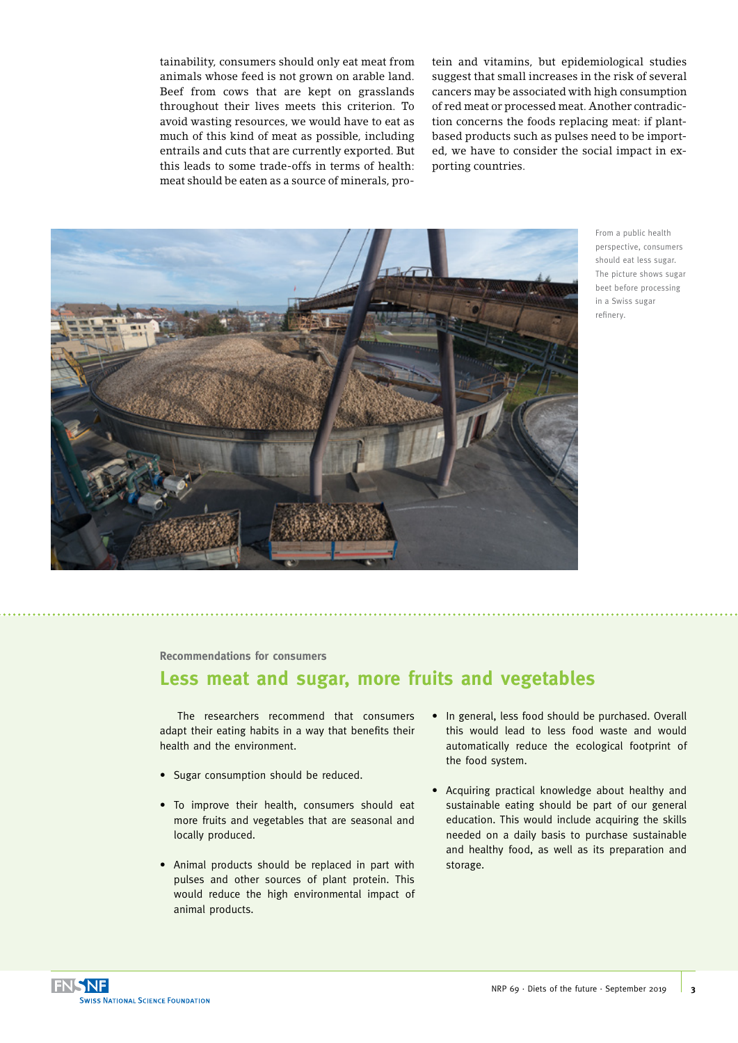tainability, consumers should only eat meat from animals whose feed is not grown on arable land. Beef from cows that are kept on grasslands throughout their lives meets this criterion. To avoid wasting resources, we would have to eat as much of this kind of meat as possible, including entrails and cuts that are currently exported. But this leads to some trade-offs in terms of health: meat should be eaten as a source of minerals, pro-

tein and vitamins, but epidemiological studies suggest that small increases in the risk of several cancers may be associated with high consumption of red meat or processed meat. Another contradiction concerns the foods replacing meat: if plantbased products such as pulses need to be imported, we have to consider the social impact in exporting countries.



From a public health perspective, consumers should eat less sugar. The picture shows sugar beet before processing in a Swiss sugar refinery.

**Recommendations for consumers**

### **Less meat and sugar, more fruits and vegetables**

The researchers recommend that consumers adapt their eating habits in a way that benefits their health and the environment.

- Sugar consumption should be reduced.
- To improve their health, consumers should eat more fruits and vegetables that are seasonal and locally produced.
- Animal products should be replaced in part with pulses and other sources of plant protein. This would reduce the high environmental impact of animal products.
- In general, less food should be purchased. Overall this would lead to less food waste and would automatically reduce the ecological footprint of the food system.
- Acquiring practical knowledge about healthy and sustainable eating should be part of our general education. This would include acquiring the skills needed on a daily basis to purchase sustainable and healthy food, as well as its preparation and storage.